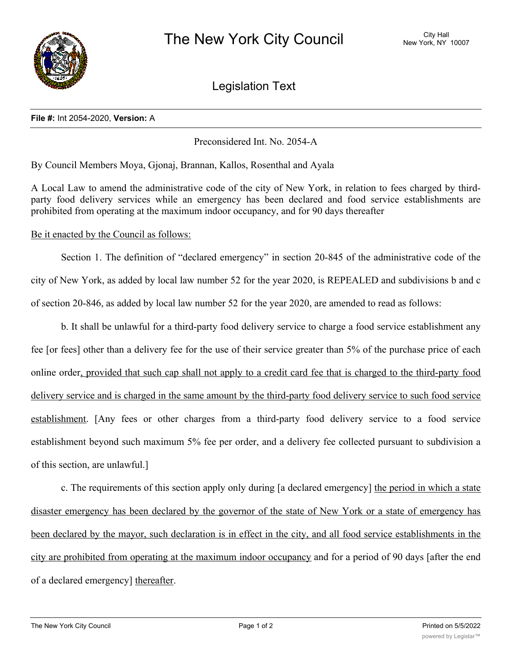

Legislation Text

## **File #:** Int 2054-2020, **Version:** A

Preconsidered Int. No. 2054-A

By Council Members Moya, Gjonaj, Brannan, Kallos, Rosenthal and Ayala

A Local Law to amend the administrative code of the city of New York, in relation to fees charged by thirdparty food delivery services while an emergency has been declared and food service establishments are prohibited from operating at the maximum indoor occupancy, and for 90 days thereafter

Be it enacted by the Council as follows:

Section 1. The definition of "declared emergency" in section 20-845 of the administrative code of the city of New York, as added by local law number 52 for the year 2020, is REPEALED and subdivisions b and c of section 20-846, as added by local law number 52 for the year 2020, are amended to read as follows:

b. It shall be unlawful for a third-party food delivery service to charge a food service establishment any fee [or fees] other than a delivery fee for the use of their service greater than 5% of the purchase price of each online order, provided that such cap shall not apply to a credit card fee that is charged to the third-party food delivery service and is charged in the same amount by the third-party food delivery service to such food service establishment. [Any fees or other charges from a third-party food delivery service to a food service establishment beyond such maximum 5% fee per order, and a delivery fee collected pursuant to subdivision a of this section, are unlawful.]

c. The requirements of this section apply only during [a declared emergency] the period in which a state disaster emergency has been declared by the governor of the state of New York or a state of emergency has been declared by the mayor, such declaration is in effect in the city, and all food service establishments in the city are prohibited from operating at the maximum indoor occupancy and for a period of 90 days [after the end of a declared emergency] thereafter.